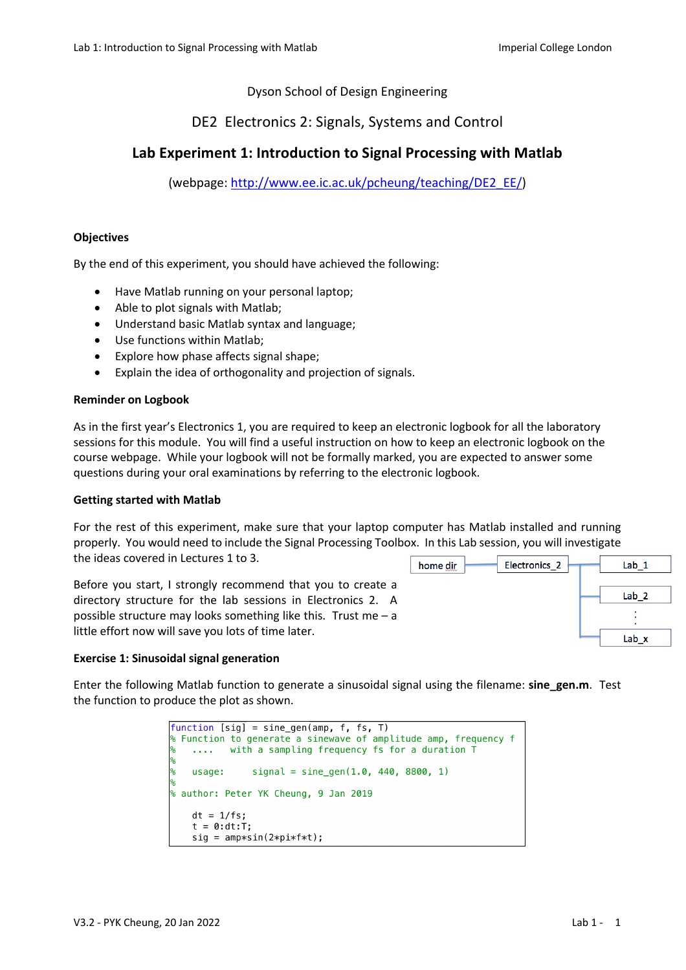## Dyson School of Design Engineering

## DE2 Electronics 2: Signals, Systems and Control

# **Lab Experiment 1: Introduction to Signal Processing with Matlab**

(webpage: http://www.ee.ic.ac.uk/pcheung/teaching/DE2\_EE/)

#### **Objectives**

By the end of this experiment, you should have achieved the following:

- Have Matlab running on your personal laptop;
- Able to plot signals with Matlab;
- Understand basic Matlab syntax and language;
- Use functions within Matlab:
- Explore how phase affects signal shape;
- Explain the idea of orthogonality and projection of signals.

#### **Reminder on Logbook**

As in the first year's Electronics 1, you are required to keep an electronic logbook for all the laboratory sessions for this module. You will find a useful instruction on how to keep an electronic logbook on the course webpage. While your logbook will not be formally marked, you are expected to answer some questions during your oral examinations by referring to the electronic logbook.

#### **Getting started with Matlab**

For the rest of this experiment, make sure that your laptop computer has Matlab installed and running properly. You would need to include the Signal Processing Toolbox. In this Lab session, you will investigate the ideas covered in Lectures 1 to 3. Electronics\_2 home dir  $Lab<sub>1</sub>$ 

Before you start, I strongly recommend that you to create a directory structure for the lab sessions in Electronics 2. A possible structure may looks something like this. Trust me  $- a$ little effort now will save you lots of time later.



Enter the following Matlab function to generate a sinusoidal signal using the filename: **sine\_gen.m**. Test the function to produce the plot as shown.

```
function [sig] = sine_gen(amp, f, fs, T)
 Function to generate a sinewave of amplitude amp, frequency f
         with a sampling frequency fs for a duration T
    \sim 100usage:
               signal = sine\_gen(1.0, 440, 8800, 1)& author: Peter YK Cheung, 9 Jan 2019
    dt = 1/fs:
    t = 0:dt:T;sig = amp*sin(2*pi*f*t);
```
 $Lab<sub>2</sub>$ 

Lab x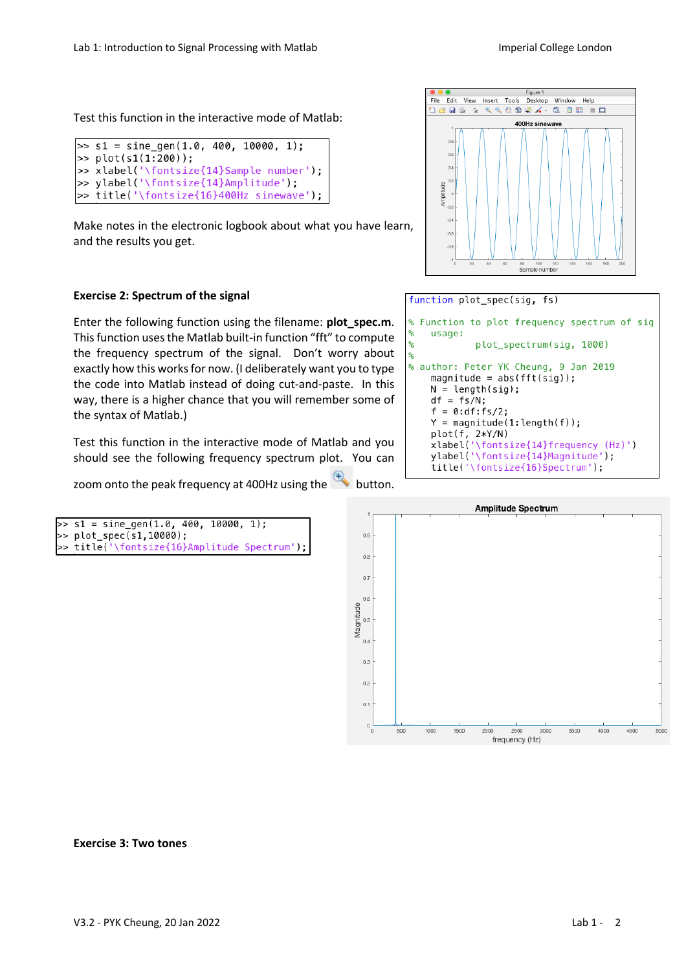Test this function in the interactive mode of Matlab:

```
>> s1 = sine_gen(1.0, 400, 10000, 1);
|>> plot(s1(1:200));>> xlabel('\fontsize{14}Sample number');
>> ylabel('\fontsize{14}Amplitude');
>> title('\fontsize{16}400Hz sinewave');
```
Make notes in the electronic logbook about what you have learn, and the results you get.

### **Exercise 2: Spectrum of the signal**

Enter the following function using the filename: **plot** spec.m. This function uses the Matlab built-in function "fft" to compute the frequency spectrum of the signal. Don't worry about exactly how this works for now. (I deliberately want you to type the code into Matlab instead of doing cut-and-paste. In this way, there is a higher chance that you will remember some of the syntax of Matlab.)

Test this function in the interactive mode of Matlab and you should see the following frequency spectrum plot. You can

zoom onto the peak frequency at 400Hz using the button.

```
\gg s1 = sine_gen(1.0, 400, 10000, 1);
>> plot_spec(s1,10000);
  title('\fontsize{16}Amplitude Spectrum');
```


function plot spec(sig, fs)

```
Function to plot frequency spectrum of sig
    usage:
             plot_spectrum(sig, 1000)
% author: Peter YK Cheung, 9 Jan 2019
    magnitude = abs(fft(sig));
    N = length(sig);df = fs/N;f = 0: df : fs/2;Y = magnitude(1: length(f));plot(f, 2*Y/N)<br>xlabel('\fontsize{14}frequency (Hz)')
    ylabel('\fontsize{14}Magnitude');
    title('\fontsize{16}Spectrum');
```


#### **Exercise 3: Two tones**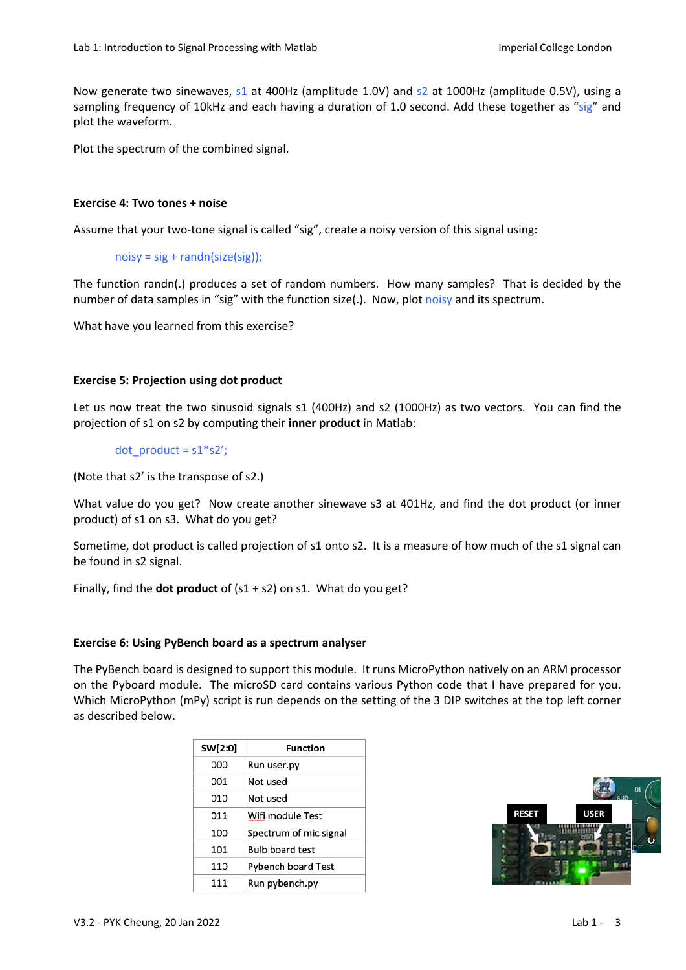Now generate two sinewaves, s1 at 400Hz (amplitude 1.0V) and s2 at 1000Hz (amplitude 0.5V), using a sampling frequency of 10kHz and each having a duration of 1.0 second. Add these together as "sig" and plot the waveform.

Plot the spectrum of the combined signal.

### **Exercise 4: Two tones + noise**

Assume that your two-tone signal is called "sig", create a noisy version of this signal using:

 $noisy = sig + randn(size(sig));$ 

The function randn(.) produces a set of random numbers. How many samples? That is decided by the number of data samples in "sig" with the function size(.). Now, plot noisy and its spectrum.

What have you learned from this exercise?

### **Exercise 5: Projection using dot product**

Let us now treat the two sinusoid signals s1 (400Hz) and s2 (1000Hz) as two vectors. You can find the projection of s1 on s2 by computing their **inner product** in Matlab:

dot product =  $s1*s2'$ ;

(Note that s2' is the transpose of s2.)

What value do you get? Now create another sinewave s3 at 401Hz, and find the dot product (or inner product) of s1 on s3. What do you get?

Sometime, dot product is called projection of s1 onto s2. It is a measure of how much of the s1 signal can be found in s2 signal.

Finally, find the **dot product** of (s1 + s2) on s1. What do you get?

#### **Exercise 6: Using PyBench board as a spectrum analyser**

The PyBench board is designed to support this module. It runs MicroPython natively on an ARM processor on the Pyboard module. The microSD card contains various Python code that I have prepared for you. Which MicroPython (mPy) script is run depends on the setting of the 3 DIP switches at the top left corner as described below.

| SW[2:0] | Function                  |
|---------|---------------------------|
| 000     | Run user.py               |
| 001     | Not used                  |
| 010     | Not used                  |
| 011     | Wifi module Test          |
| 100     | Spectrum of mic signal    |
| 101     | <b>Bulb board test</b>    |
| 110     | <b>Pybench board Test</b> |
| 111     | Run pybench.py            |